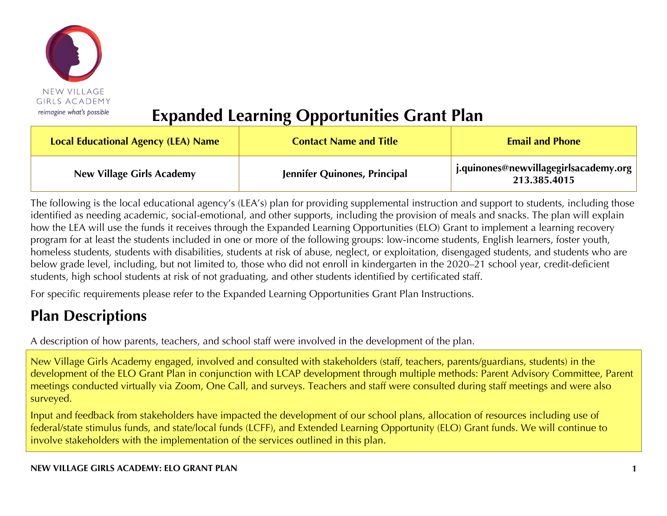

# **Expanded Learning Opportunities Grant Plan**

| Local Educational Agency (LEA) Name | <b>Contact Name and Title</b> | <b>Email and Phone</b>                                  |
|-------------------------------------|-------------------------------|---------------------------------------------------------|
| <b>New Village Girls Academy</b>    | Jennifer Quinones, Principal  | j.quinones@newvillagegirlsacademy.org  <br>213.385.4015 |

The following is the local educational agency's (LEA's) plan for providing supplemental instruction and support to students, including those identified as needing academic, social-emotional, and other supports, including the provision of meals and snacks. The plan will explain how the LEA will use the funds it receives through the Expanded Learning Opportunities (ELO) Grant to implement a learning recovery program for at least the students included in one or more of the following groups: low-income students, English learners, foster youth, homeless students, students with disabilities, students at risk of abuse, neglect, or exploitation, disengaged students, and students who are below grade level, including, but not limited to, those who did not enroll in kindergarten in the 2020–21 school year, credit-deficient students, high school students at risk of not graduating, and other students identified by certificated staff.

For specific requirements please refer to the Expanded Learning Opportunities Grant Plan Instructions.

# **Plan Descriptions**

A description of how parents, teachers, and school staff were involved in the development of the plan.

New Village Girls Academy engaged, involved and consulted with stakeholders (staff, teachers, parents/guardians, students) in the development of the ELO Grant Plan in conjunction with LCAP development through multiple methods: Parent Advisory Committee, Parent meetings conducted virtually via Zoom, One Call, and surveys. Teachers and staff were consulted during staff meetings and were also surveyed.

Input and feedback from stakeholders have impacted the development of our school plans, allocation of resources including use of federal/state stimulus funds, and state/local funds (LCFF), and Extended Learning Opportunity (ELO) Grant funds. We will continue to involve stakeholders with the implementation of the services outlined in this plan.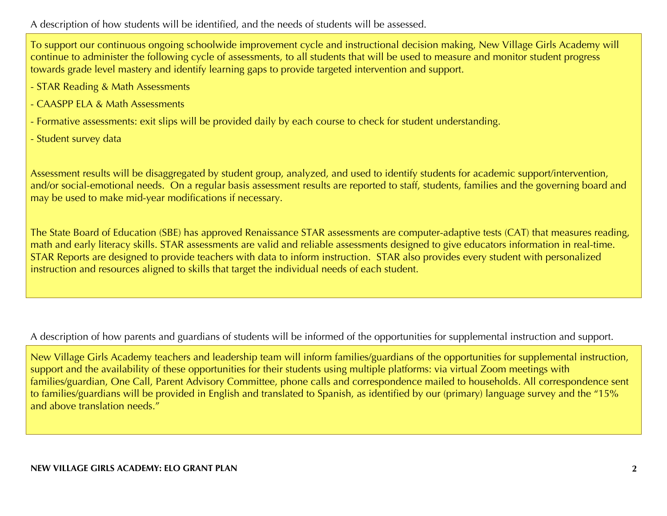A description of how students will be identified, and the needs of students will be assessed.

To support our continuous ongoing schoolwide improvement cycle and instructional decision making, New Village Girls Academy will continue to administer the following cycle of assessments, to all students that will be used to measure and monitor student progress towards grade level mastery and identify learning gaps to provide targeted intervention and support.

- STAR Reading & Math Assessments
- CAASPP ELA & Math Assessments
- Formative assessments: exit slips will be provided daily by each course to check for student understanding.
- Student survey data

Assessment results will be disaggregated by student group, analyzed, and used to identify students for academic support/intervention, and/or social-emotional needs. On a regular basis assessment results are reported to staff, students, families and the governing board and may be used to make mid-year modifications if necessary.

The State Board of Education (SBE) has approved Renaissance STAR assessments are computer-adaptive tests (CAT) that measures reading, math and early literacy skills. STAR assessments are valid and reliable assessments designed to give educators information in real-time. STAR Reports are designed to provide teachers with data to inform instruction. STAR also provides every student with personalized instruction and resources aligned to skills that target the individual needs of each student.

A description of how parents and guardians of students will be informed of the opportunities for supplemental instruction and support.

New Village Girls Academy teachers and leadership team will inform families/guardians of the opportunities for supplemental instruction, support and the availability of these opportunities for their students using multiple platforms: via virtual Zoom meetings with families/guardian, One Call, Parent Advisory Committee, phone calls and correspondence mailed to households. All correspondence sent to families/guardians will be provided in English and translated to Spanish, as identified by our (primary) language survey and the "15% and above translation needs."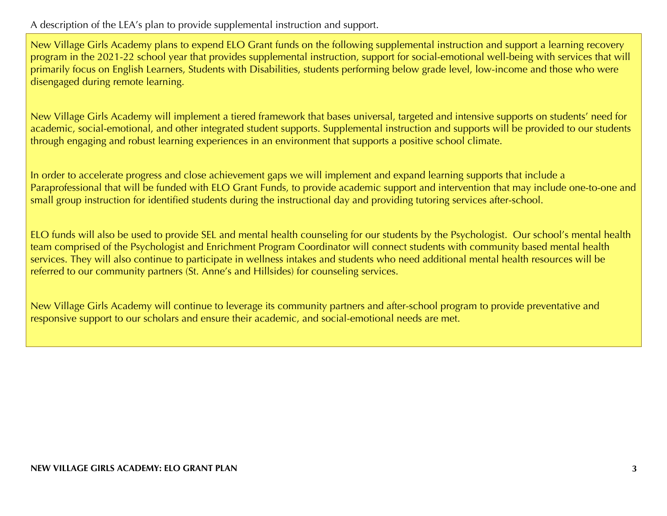A description of the LEA's plan to provide supplemental instruction and support.

New Village Girls Academy plans to expend ELO Grant funds on the following supplemental instruction and support a learning recovery program in the 2021-22 school year that provides supplemental instruction, support for social-emotional well-being with services that will primarily focus on English Learners, Students with Disabilities, students performing below grade level, low-income and those who were disengaged during remote learning.

New Village Girls Academy will implement a tiered framework that bases universal, targeted and intensive supports on students' need for academic, social-emotional, and other integrated student supports. Supplemental instruction and supports will be provided to our students through engaging and robust learning experiences in an environment that supports a positive school climate.

In order to accelerate progress and close achievement gaps we will implement and expand learning supports that include a Paraprofessional that will be funded with ELO Grant Funds, to provide academic support and intervention that may include one-to-one and small group instruction for identified students during the instructional day and providing tutoring services after-school.

ELO funds will also be used to provide SEL and mental health counseling for our students by the Psychologist. Our school's mental health team comprised of the Psychologist and Enrichment Program Coordinator will connect students with community based mental health services. They will also continue to participate in wellness intakes and students who need additional mental health resources will be referred to our community partners (St. Anne's and Hillsides) for counseling services.

New Village Girls Academy will continue to leverage its community partners and after-school program to provide preventative and responsive support to our scholars and ensure their academic, and social-emotional needs are met.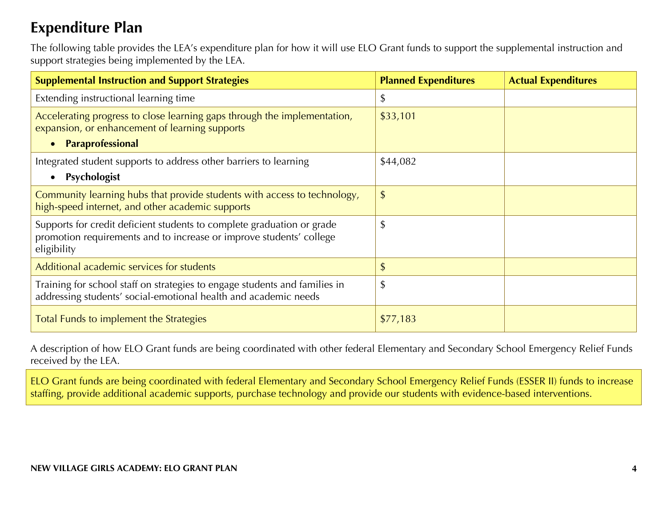## **Expenditure Plan**

The following table provides the LEA's expenditure plan for how it will use ELO Grant funds to support the supplemental instruction and support strategies being implemented by the LEA.

| <b>Supplemental Instruction and Support Strategies</b>                                                                                                       | <b>Planned Expenditures</b> | <b>Actual Expenditures</b> |
|--------------------------------------------------------------------------------------------------------------------------------------------------------------|-----------------------------|----------------------------|
| Extending instructional learning time                                                                                                                        | \$                          |                            |
| Accelerating progress to close learning gaps through the implementation,<br>expansion, or enhancement of learning supports<br>Paraprofessional               | \$33,101                    |                            |
| Integrated student supports to address other barriers to learning<br>Psychologist<br>$\bullet$                                                               | \$44,082                    |                            |
| Community learning hubs that provide students with access to technology,<br>high-speed internet, and other academic supports                                 | \$                          |                            |
| Supports for credit deficient students to complete graduation or grade<br>promotion requirements and to increase or improve students' college<br>eligibility | \$                          |                            |
| Additional academic services for students                                                                                                                    | \$                          |                            |
| Training for school staff on strategies to engage students and families in<br>addressing students' social-emotional health and academic needs                | \$                          |                            |
| Total Funds to implement the Strategies                                                                                                                      | \$77,183                    |                            |

A description of how ELO Grant funds are being coordinated with other federal Elementary and Secondary School Emergency Relief Funds received by the LEA.

ELO Grant funds are being coordinated with federal Elementary and Secondary School Emergency Relief Funds (ESSER II) funds to increase staffing, provide additional academic supports, purchase technology and provide our students with evidence-based interventions.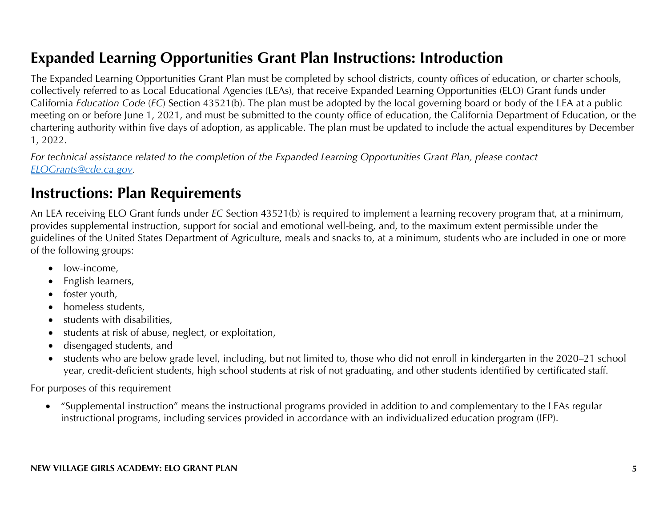# **Expanded Learning Opportunities Grant Plan Instructions: Introduction**

The Expanded Learning Opportunities Grant Plan must be completed by school districts, county offices of education, or charter schools, collectively referred to as Local Educational Agencies (LEAs), that receive Expanded Learning Opportunities (ELO) Grant funds under California *Education Code* (*EC*) Section 43521(b). The plan must be adopted by the local governing board or body of the LEA at a public meeting on or before June 1, 2021, and must be submitted to the county office of education, the California Department of Education, or the chartering authority within five days of adoption, as applicable. The plan must be updated to include the actual expenditures by December 1, 2022.

*For technical assistance related to the completion of the Expanded Learning Opportunities Grant Plan, please contact ELOGrants@cde.ca.gov.*

## **Instructions: Plan Requirements**

An LEA receiving ELO Grant funds under *EC* Section 43521(b) is required to implement a learning recovery program that, at a minimum, provides supplemental instruction, support for social and emotional well-being, and, to the maximum extent permissible under the guidelines of the United States Department of Agriculture, meals and snacks to, at a minimum, students who are included in one or more of the following groups:

- low-income,
- English learners,
- foster youth,
- homeless students,
- students with disabilities,
- students at risk of abuse, neglect, or exploitation,
- disengaged students, and
- students who are below grade level, including, but not limited to, those who did not enroll in kindergarten in the 2020–21 school year, credit-deficient students, high school students at risk of not graduating, and other students identified by certificated staff.

For purposes of this requirement

• "Supplemental instruction" means the instructional programs provided in addition to and complementary to the LEAs regular instructional programs, including services provided in accordance with an individualized education program (IEP).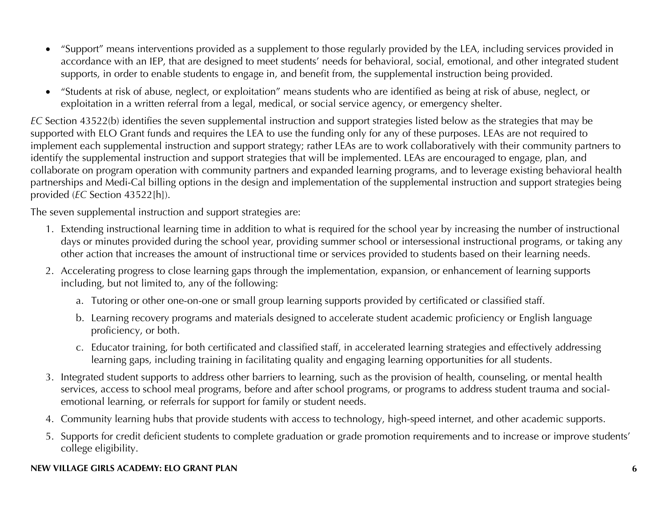- "Support" means interventions provided as a supplement to those regularly provided by the LEA, including services provided in accordance with an IEP, that are designed to meet students' needs for behavioral, social, emotional, and other integrated student supports, in order to enable students to engage in, and benefit from, the supplemental instruction being provided.
- "Students at risk of abuse, neglect, or exploitation" means students who are identified as being at risk of abuse, neglect, or exploitation in a written referral from a legal, medical, or social service agency, or emergency shelter.

*EC* Section 43522(b) identifies the seven supplemental instruction and support strategies listed below as the strategies that may be supported with ELO Grant funds and requires the LEA to use the funding only for any of these purposes. LEAs are not required to implement each supplemental instruction and support strategy; rather LEAs are to work collaboratively with their community partners to identify the supplemental instruction and support strategies that will be implemented. LEAs are encouraged to engage, plan, and collaborate on program operation with community partners and expanded learning programs, and to leverage existing behavioral health partnerships and Medi-Cal billing options in the design and implementation of the supplemental instruction and support strategies being provided (*EC* Section 43522[h]).

The seven supplemental instruction and support strategies are:

- 1. Extending instructional learning time in addition to what is required for the school year by increasing the number of instructional days or minutes provided during the school year, providing summer school or intersessional instructional programs, or taking any other action that increases the amount of instructional time or services provided to students based on their learning needs.
- 2. Accelerating progress to close learning gaps through the implementation, expansion, or enhancement of learning supports including, but not limited to, any of the following:
	- a. Tutoring or other one-on-one or small group learning supports provided by certificated or classified staff.
	- b. Learning recovery programs and materials designed to accelerate student academic proficiency or English language proficiency, or both.
	- c. Educator training, for both certificated and classified staff, in accelerated learning strategies and effectively addressing learning gaps, including training in facilitating quality and engaging learning opportunities for all students.
- 3. Integrated student supports to address other barriers to learning, such as the provision of health, counseling, or mental health services, access to school meal programs, before and after school programs, or programs to address student trauma and socialemotional learning, or referrals for support for family or student needs.
- 4. Community learning hubs that provide students with access to technology, high-speed internet, and other academic supports.
- 5. Supports for credit deficient students to complete graduation or grade promotion requirements and to increase or improve students' college eligibility.

#### **NEW VILLAGE GIRLS ACADEMY: ELO GRANT PLAN 6**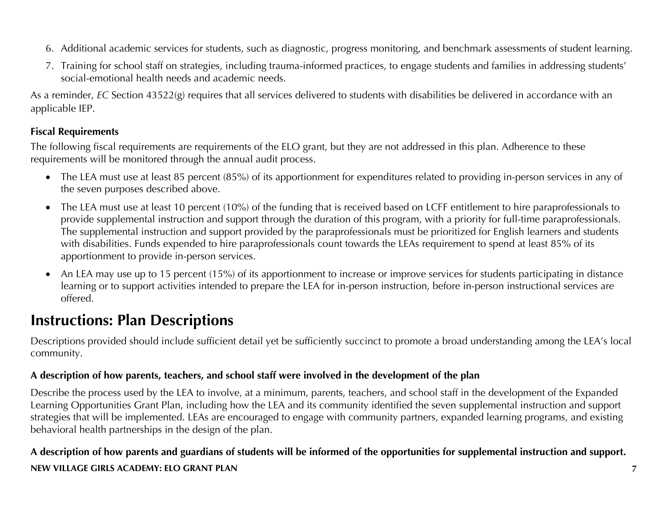- 6. Additional academic services for students, such as diagnostic, progress monitoring, and benchmark assessments of student learning.
- 7. Training for school staff on strategies, including trauma-informed practices, to engage students and families in addressing students' social-emotional health needs and academic needs.

As a reminder, *EC* Section 43522(g) requires that all services delivered to students with disabilities be delivered in accordance with an applicable IEP.

#### **Fiscal Requirements**

The following fiscal requirements are requirements of the ELO grant, but they are not addressed in this plan. Adherence to these requirements will be monitored through the annual audit process.

- The LEA must use at least 85 percent (85%) of its apportionment for expenditures related to providing in-person services in any of the seven purposes described above.
- The LEA must use at least 10 percent (10%) of the funding that is received based on LCFF entitlement to hire paraprofessionals to provide supplemental instruction and support through the duration of this program, with a priority for full-time paraprofessionals. The supplemental instruction and support provided by the paraprofessionals must be prioritized for English learners and students with disabilities. Funds expended to hire paraprofessionals count towards the LEAs requirement to spend at least 85% of its apportionment to provide in-person services.
- An LEA may use up to 15 percent (15%) of its apportionment to increase or improve services for students participating in distance learning or to support activities intended to prepare the LEA for in-person instruction, before in-person instructional services are offered.

# **Instructions: Plan Descriptions**

Descriptions provided should include sufficient detail yet be sufficiently succinct to promote a broad understanding among the LEA's local community.

#### **A description of how parents, teachers, and school staff were involved in the development of the plan**

Describe the process used by the LEA to involve, at a minimum, parents, teachers, and school staff in the development of the Expanded Learning Opportunities Grant Plan, including how the LEA and its community identified the seven supplemental instruction and support strategies that will be implemented. LEAs are encouraged to engage with community partners, expanded learning programs, and existing behavioral health partnerships in the design of the plan.

### **NEW VILLAGE GIRLS ACADEMY: ELO GRANT PLAN 7 A description of how parents and guardians of students will be informed of the opportunities for supplemental instruction and support.**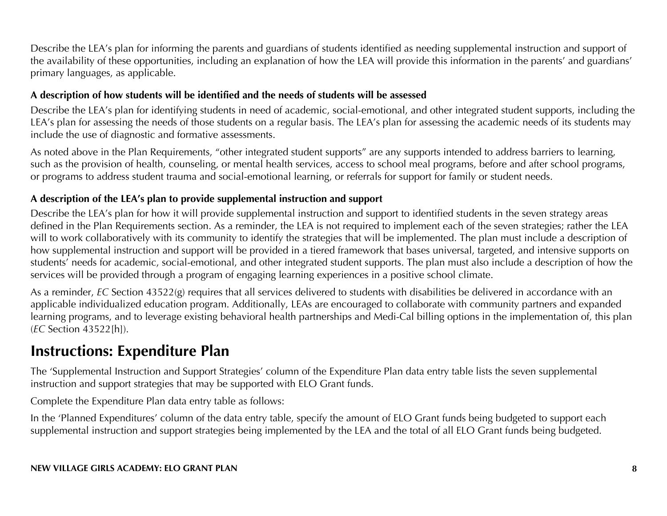Describe the LEA's plan for informing the parents and guardians of students identified as needing supplemental instruction and support of the availability of these opportunities, including an explanation of how the LEA will provide this information in the parents' and guardians' primary languages, as applicable.

#### **A description of how students will be identified and the needs of students will be assessed**

Describe the LEA's plan for identifying students in need of academic, social-emotional, and other integrated student supports, including the LEA's plan for assessing the needs of those students on a regular basis. The LEA's plan for assessing the academic needs of its students may include the use of diagnostic and formative assessments.

As noted above in the Plan Requirements, "other integrated student supports" are any supports intended to address barriers to learning, such as the provision of health, counseling, or mental health services, access to school meal programs, before and after school programs, or programs to address student trauma and social-emotional learning, or referrals for support for family or student needs.

#### **A description of the LEA's plan to provide supplemental instruction and support**

Describe the LEA's plan for how it will provide supplemental instruction and support to identified students in the seven strategy areas defined in the Plan Requirements section. As a reminder, the LEA is not required to implement each of the seven strategies; rather the LEA will to work collaboratively with its community to identify the strategies that will be implemented. The plan must include a description of how supplemental instruction and support will be provided in a tiered framework that bases universal, targeted, and intensive supports on students' needs for academic, social-emotional, and other integrated student supports. The plan must also include a description of how the services will be provided through a program of engaging learning experiences in a positive school climate.

As a reminder, *EC* Section 43522(g) requires that all services delivered to students with disabilities be delivered in accordance with an applicable individualized education program. Additionally, LEAs are encouraged to collaborate with community partners and expanded learning programs, and to leverage existing behavioral health partnerships and Medi-Cal billing options in the implementation of, this plan (*EC* Section 43522[h]).

## **Instructions: Expenditure Plan**

The 'Supplemental Instruction and Support Strategies' column of the Expenditure Plan data entry table lists the seven supplemental instruction and support strategies that may be supported with ELO Grant funds.

Complete the Expenditure Plan data entry table as follows:

In the 'Planned Expenditures' column of the data entry table, specify the amount of ELO Grant funds being budgeted to support each supplemental instruction and support strategies being implemented by the LEA and the total of all ELO Grant funds being budgeted.